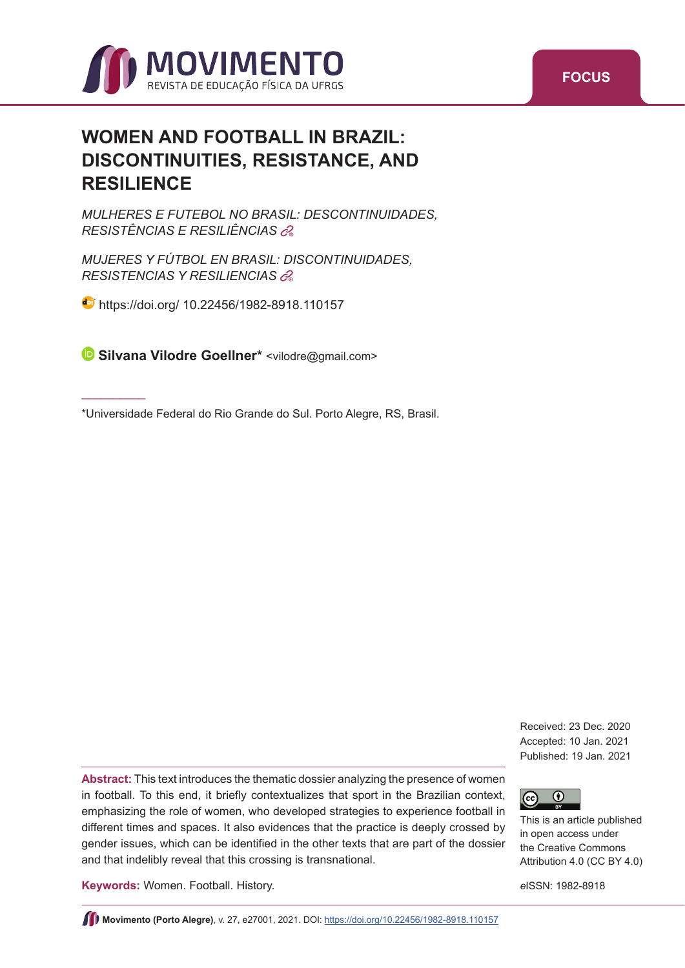

# **WOMEN AND FOOTBALL IN BRAZIL: DISCONTINUITIES, RESISTANCE, AND RESILIENCE**

*MULHERES E FUTEBOL NO BRASIL: DESCONTINUIDADES, RESISTÊNCIAS E RESILIÊNCIAS*<sup>+</sup>

*MUJERES Y FÚTBOL EN BRASIL: DISCONTINUIDADES, RESISTENCIAS Y RESILIENCIAS*<sup>+</sup>

**d** [https://doi.org/ 10.22456/1982-8918.110157](https://doi.org/10.22456/1982-8918.110157)

 $\overline{\phantom{a}}$  . The contract of the contract of the contract of the contract of the contract of the contract of the contract of the contract of the contract of the contract of the contract of the contract of the contract of

**Silvana Vilodre Goellner\*** [<vilodre@gmail.com](mailto:vilodre@gmail.com)>

\*Universidade Federal do Rio Grande do Sul. Porto Alegre, RS, Brasil.

Received: 23 Dec. 2020 Accepted: 10 Jan. 2021 Published: 19 Jan. 2021



This is an article published in open access under the Creative Commons Attribution 4.0 (CC BY 4.0)

**Keywords:** Women. Football. History.

and that indelibly reveal that this crossing is transnational.

*e*ISSN: 1982-8918

**Movimento (Porto Alegre)**, v. 27, e27001, 2021. DOI:<https://doi.org/10.22456/1982-8918.110157>

**Abstract:** This text introduces the thematic dossier analyzing the presence of women in football. To this end, it briefly contextualizes that sport in the Brazilian context, emphasizing the role of women, who developed strategies to experience football in different times and spaces. It also evidences that the practice is deeply crossed by gender issues, which can be identified in the other texts that are part of the dossier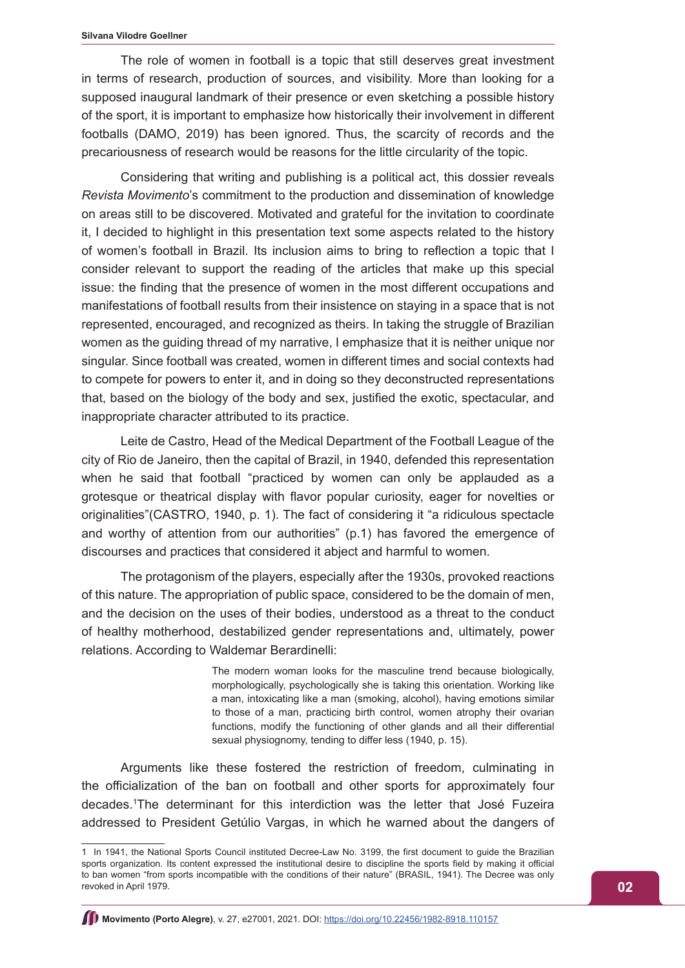The role of women in football is a topic that still deserves great investment in terms of research, production of sources, and visibility. More than looking for a supposed inaugural landmark of their presence or even sketching a possible history of the sport, it is important to emphasize how historically their involvement in different footballs (DAMO, 2019) has been ignored. Thus, the scarcity of records and the precariousness of research would be reasons for the little circularity of the topic.

Considering that writing and publishing is a political act, this dossier reveals *Revista Movimento*'s commitment to the production and dissemination of knowledge on areas still to be discovered. Motivated and grateful for the invitation to coordinate it, I decided to highlight in this presentation text some aspects related to the history of women's football in Brazil. Its inclusion aims to bring to reflection a topic that I consider relevant to support the reading of the articles that make up this special issue: the finding that the presence of women in the most different occupations and manifestations of football results from their insistence on staying in a space that is not represented, encouraged, and recognized as theirs. In taking the struggle of Brazilian women as the guiding thread of my narrative, I emphasize that it is neither unique nor singular. Since football was created, women in different times and social contexts had to compete for powers to enter it, and in doing so they deconstructed representations that, based on the biology of the body and sex, justified the exotic, spectacular, and inappropriate character attributed to its practice.

Leite de Castro, Head of the Medical Department of the Football League of the city of Rio de Janeiro, then the capital of Brazil, in 1940, defended this representation when he said that football "practiced by women can only be applauded as a grotesque or theatrical display with flavor popular curiosity, eager for novelties or originalities"(CASTRO, 1940, p. 1). The fact of considering it "a ridiculous spectacle and worthy of attention from our authorities" (p.1) has favored the emergence of discourses and practices that considered it abject and harmful to women.

The protagonism of the players, especially after the 1930s, provoked reactions of this nature. The appropriation of public space, considered to be the domain of men, and the decision on the uses of their bodies, understood as a threat to the conduct of healthy motherhood, destabilized gender representations and, ultimately, power relations. According to Waldemar Berardinelli:

> The modern woman looks for the masculine trend because biologically, morphologically, psychologically she is taking this orientation. Working like a man, intoxicating like a man (smoking, alcohol), having emotions similar to those of a man, practicing birth control, women atrophy their ovarian functions, modify the functioning of other glands and all their differential sexual physiognomy, tending to differ less (1940, p. 15).

Arguments like these fostered the restriction of freedom, culminating in the officialization of the ban on football and other sports for approximately four decades.1 The determinant for this interdiction was the letter that José Fuzeira addressed to President Getúlio Vargas, in which he warned about the dangers of

<sup>1</sup> In 1941, the National Sports Council instituted Decree-Law No. 3199, the first document to guide the Brazilian sports organization. Its content expressed the institutional desire to discipline the sports field by making it official to ban women "from sports incompatible with the conditions of their nature" (BRASIL, 1941). The Decree was only revoked in April 1979.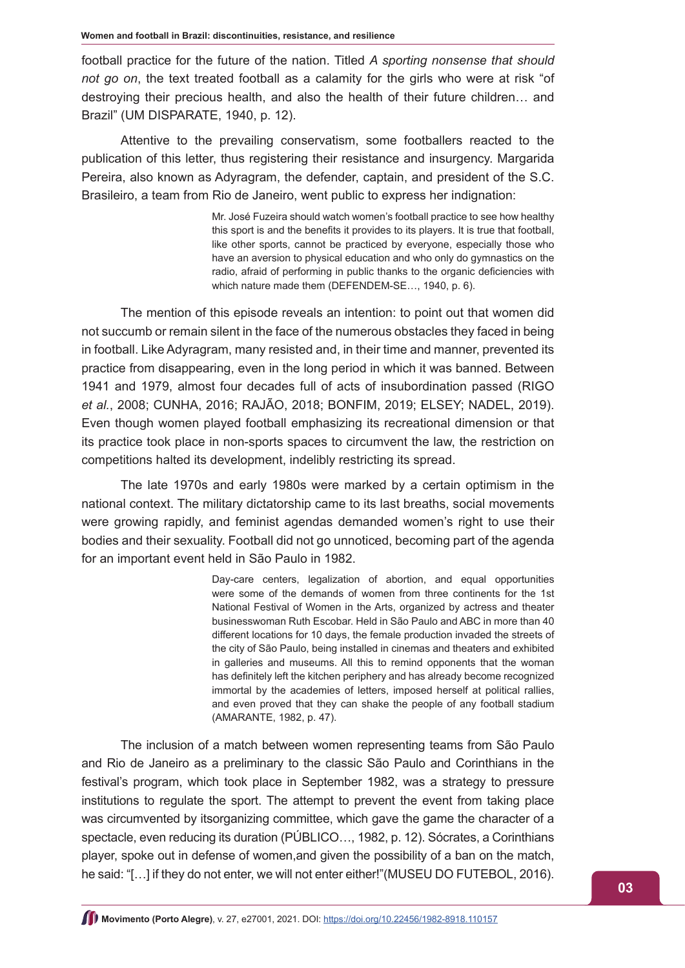football practice for the future of the nation. Titled *A sporting nonsense that should not go on*, the text treated football as a calamity for the girls who were at risk "of destroying their precious health, and also the health of their future children… and Brazil" (UM DISPARATE, 1940, p. 12).

Attentive to the prevailing conservatism, some footballers reacted to the publication of this letter, thus registering their resistance and insurgency. Margarida Pereira, also known as Adyragram, the defender, captain, and president of the S.C. Brasileiro, a team from Rio de Janeiro, went public to express her indignation:

> Mr. José Fuzeira should watch women's football practice to see how healthy this sport is and the benefits it provides to its players. It is true that football, like other sports, cannot be practiced by everyone, especially those who have an aversion to physical education and who only do gymnastics on the radio, afraid of performing in public thanks to the organic deficiencies with which nature made them (DEFENDEM-SE…, 1940, p. 6).

The mention of this episode reveals an intention: to point out that women did not succumb or remain silent in the face of the numerous obstacles they faced in being in football. Like Adyragram, many resisted and, in their time and manner, prevented its practice from disappearing, even in the long period in which it was banned. Between 1941 and 1979, almost four decades full of acts of insubordination passed (RIGO *et al.*, 2008; CUNHA, 2016; RAJÃO, 2018; BONFIM, 2019; ELSEY; NADEL, 2019). Even though women played football emphasizing its recreational dimension or that its practice took place in non-sports spaces to circumvent the law, the restriction on competitions halted its development, indelibly restricting its spread.

The late 1970s and early 1980s were marked by a certain optimism in the national context. The military dictatorship came to its last breaths, social movements were growing rapidly, and feminist agendas demanded women's right to use their bodies and their sexuality. Football did not go unnoticed, becoming part of the agenda for an important event held in São Paulo in 1982.

> Day-care centers, legalization of abortion, and equal opportunities were some of the demands of women from three continents for the 1st National Festival of Women in the Arts, organized by actress and theater businesswoman Ruth Escobar. Held in São Paulo and ABC in more than 40 different locations for 10 days, the female production invaded the streets of the city of São Paulo, being installed in cinemas and theaters and exhibited in galleries and museums. All this to remind opponents that the woman has definitely left the kitchen periphery and has already become recognized immortal by the academies of letters, imposed herself at political rallies, and even proved that they can shake the people of any football stadium (AMARANTE, 1982, p. 47).

The inclusion of a match between women representing teams from São Paulo and Rio de Janeiro as a preliminary to the classic São Paulo and Corinthians in the festival's program, which took place in September 1982, was a strategy to pressure institutions to regulate the sport. The attempt to prevent the event from taking place was circumvented by itsorganizing committee, which gave the game the character of a spectacle, even reducing its duration (PÚBLICO…, 1982, p. 12). Sócrates, a Corinthians player, spoke out in defense of women,and given the possibility of a ban on the match, he said: "[…] if they do not enter, we will not enter either!"(MUSEU DO FUTEBOL, 2016).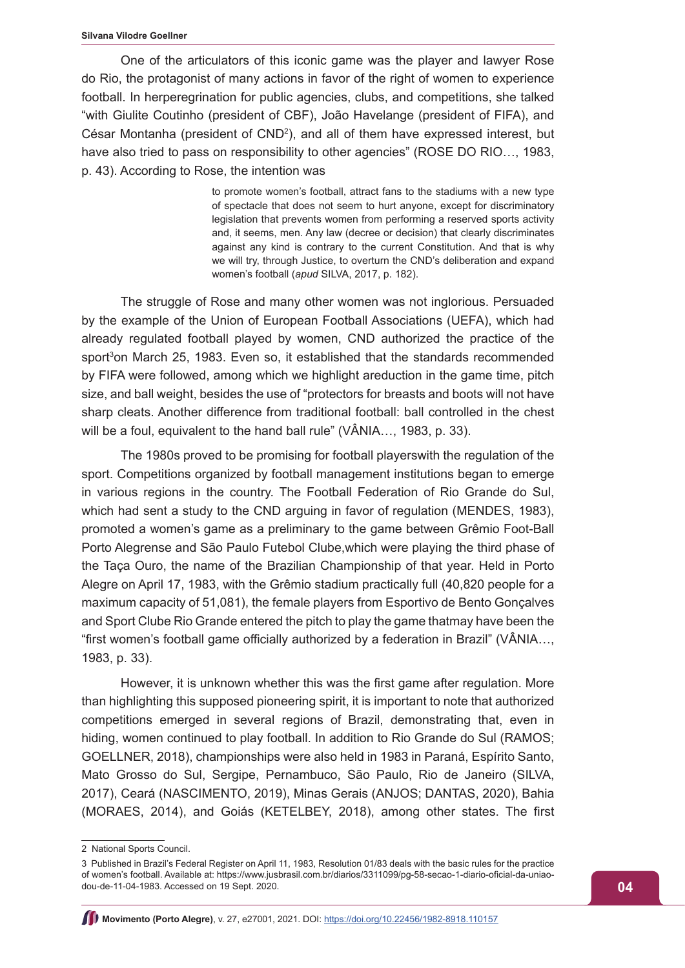One of the articulators of this iconic game was the player and lawyer Rose do Rio, the protagonist of many actions in favor of the right of women to experience football. In herperegrination for public agencies, clubs, and competitions, she talked "with Giulite Coutinho (president of CBF), João Havelange (president of FIFA), and César Montanha (president of CND<sup>2</sup>), and all of them have expressed interest, but have also tried to pass on responsibility to other agencies" (ROSE DO RIO..., 1983, p. 43). According to Rose, the intention was

> to promote women's football, attract fans to the stadiums with a new type of spectacle that does not seem to hurt anyone, except for discriminatory legislation that prevents women from performing a reserved sports activity and, it seems, men. Any law (decree or decision) that clearly discriminates against any kind is contrary to the current Constitution. And that is why we will try, through Justice, to overturn the CND's deliberation and expand women's football (*apud* SILVA, 2017, p. 182).

The struggle of Rose and many other women was not inglorious. Persuaded by the example of the Union of European Football Associations (UEFA), which had already regulated football played by women, CND authorized the practice of the sport<sup>3</sup>on March 25, 1983. Even so, it established that the standards recommended by FIFA were followed, among which we highlight areduction in the game time, pitch size, and ball weight, besides the use of "protectors for breasts and boots will not have sharp cleats. Another difference from traditional football: ball controlled in the chest will be a foul, equivalent to the hand ball rule" (VÂNIA..., 1983, p. 33).

The 1980s proved to be promising for football playerswith the regulation of the sport. Competitions organized by football management institutions began to emerge in various regions in the country. The Football Federation of Rio Grande do Sul, which had sent a study to the CND arguing in favor of regulation (MENDES, 1983), promoted a women's game as a preliminary to the game between Grêmio Foot-Ball Porto Alegrense and São Paulo Futebol Clube,which were playing the third phase of the Taça Ouro, the name of the Brazilian Championship of that year. Held in Porto Alegre on April 17, 1983, with the Grêmio stadium practically full (40,820 people for a maximum capacity of 51,081), the female players from Esportivo de Bento Gonçalves and Sport Clube Rio Grande entered the pitch to play the game thatmay have been the "first women's football game officially authorized by a federation in Brazil" (VÂNIA…, 1983, p. 33).

However, it is unknown whether this was the first game after regulation. More than highlighting this supposed pioneering spirit, it is important to note that authorized competitions emerged in several regions of Brazil, demonstrating that, even in hiding, women continued to play football. In addition to Rio Grande do Sul (RAMOS; GOELLNER, 2018), championships were also held in 1983 in Paraná, Espírito Santo, Mato Grosso do Sul, Sergipe, Pernambuco, São Paulo, Rio de Janeiro (SILVA, 2017), Ceará (NASCIMENTO, 2019), Minas Gerais (ANJOS; DANTAS, 2020), Bahia (MORAES, 2014), and Goiás (KETELBEY, 2018), among other states. The first

<sup>2</sup> National Sports Council.

<sup>3</sup> Published in Brazil's Federal Register on April 11, 1983, Resolution 01/83 deals with the basic rules for the practice of women's football. Available at: https://www.jusbrasil.com.br/diarios/3311099/pg-58-secao-1-diario-oficial-da-uniaodou-de-11-04-1983. Accessed on 19 Sept. 2020.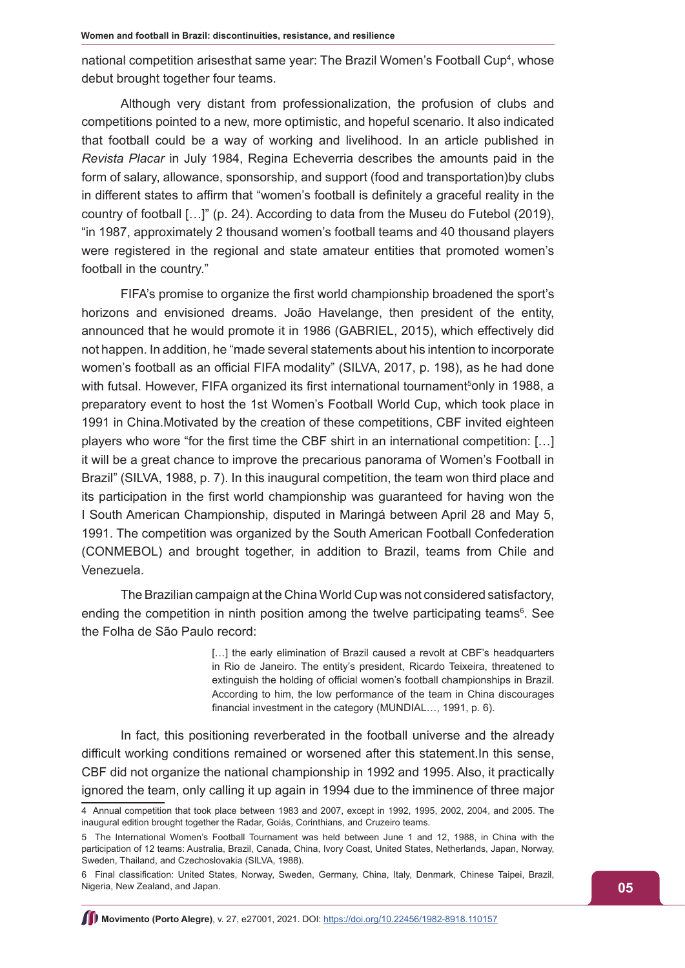national competition arisesthat same year: The Brazil Women's Football Cup<sup>4</sup>, whose debut brought together four teams.

Although very distant from professionalization, the profusion of clubs and competitions pointed to a new, more optimistic, and hopeful scenario. It also indicated that football could be a way of working and livelihood. In an article published in *Revista Placar* in July 1984, Regina Echeverria describes the amounts paid in the form of salary, allowance, sponsorship, and support (food and transportation)by clubs in different states to affirm that "women's football is definitely a graceful reality in the country of football […]" (p. 24). According to data from the Museu do Futebol (2019), "in 1987, approximately 2 thousand women's football teams and 40 thousand players were registered in the regional and state amateur entities that promoted women's football in the country."

FIFA's promise to organize the first world championship broadened the sport's horizons and envisioned dreams. João Havelange, then president of the entity, announced that he would promote it in 1986 (GABRIEL, 2015), which effectively did not happen. In addition, he "made several statements about his intention to incorporate women's football as an official FIFA modality" (SILVA, 2017, p. 198), as he had done with futsal. However, FIFA organized its first international tournament<sup>5</sup>only in 1988, a preparatory event to host the 1st Women's Football World Cup, which took place in 1991 in China.Motivated by the creation of these competitions, CBF invited eighteen players who wore "for the first time the CBF shirt in an international competition: […] it will be a great chance to improve the precarious panorama of Women's Football in Brazil" (SILVA, 1988, p. 7). In this inaugural competition, the team won third place and its participation in the first world championship was guaranteed for having won the I South American Championship, disputed in Maringá between April 28 and May 5, 1991. The competition was organized by the South American Football Confederation (CONMEBOL) and brought together, in addition to Brazil, teams from Chile and Venezuela.

The Brazilian campaign at the China World Cup was not considered satisfactory, ending the competition in ninth position among the twelve participating teams<sup>6</sup>. See the Folha de São Paulo record:

> [...] the early elimination of Brazil caused a revolt at CBF's headquarters in Rio de Janeiro. The entity's president, Ricardo Teixeira, threatened to extinguish the holding of official women's football championships in Brazil. According to him, the low performance of the team in China discourages financial investment in the category (MUNDIAL…, 1991, p. 6).

In fact, this positioning reverberated in the football universe and the already difficult working conditions remained or worsened after this statement.In this sense, CBF did not organize the national championship in 1992 and 1995. Also, it practically ignored the team, only calling it up again in 1994 due to the imminence of three major

<sup>4</sup> Annual competition that took place between 1983 and 2007, except in 1992, 1995, 2002, 2004, and 2005. The inaugural edition brought together the Radar, Goiás, Corinthians, and Cruzeiro teams.

<sup>5</sup> The International Women's Football Tournament was held between June 1 and 12, 1988, in China with the participation of 12 teams: Australia, Brazil, Canada, China, Ivory Coast, United States, Netherlands, Japan, Norway, Sweden, Thailand, and Czechoslovakia (SILVA, 1988).

<sup>6</sup> Final classification: United States, Norway, Sweden, Germany, China, Italy, Denmark, Chinese Taipei, Brazil, Nigeria, New Zealand, and Japan.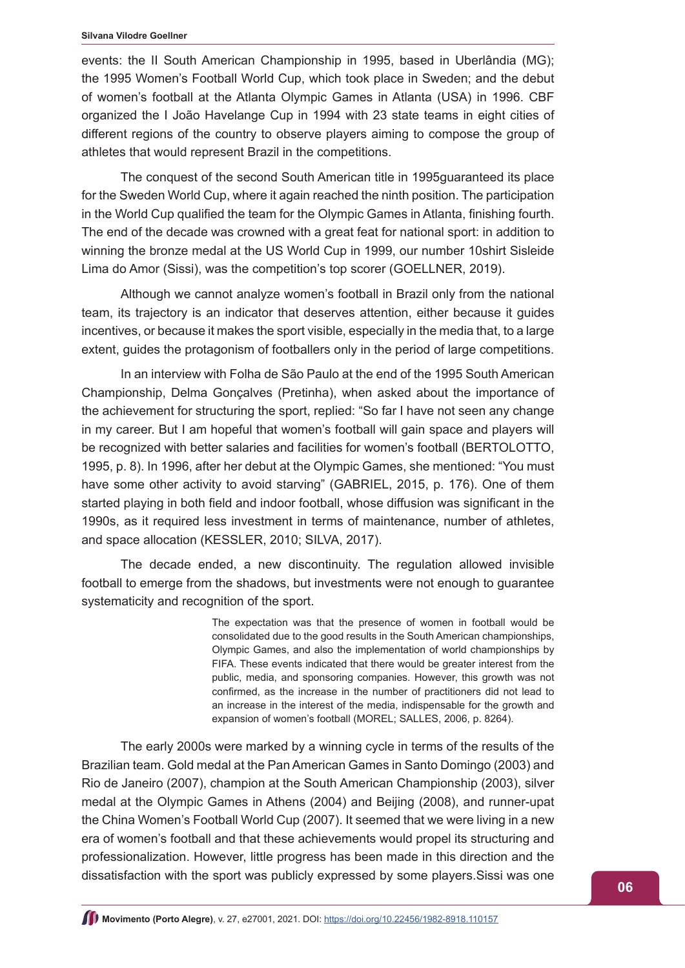#### **Silvana Vilodre Goellner**

events: the II South American Championship in 1995, based in Uberlândia (MG); the 1995 Women's Football World Cup, which took place in Sweden; and the debut of women's football at the Atlanta Olympic Games in Atlanta (USA) in 1996. CBF organized the I João Havelange Cup in 1994 with 23 state teams in eight cities of different regions of the country to observe players aiming to compose the group of athletes that would represent Brazil in the competitions.

The conquest of the second South American title in 1995guaranteed its place for the Sweden World Cup, where it again reached the ninth position. The participation in the World Cup qualified the team for the Olympic Games in Atlanta, finishing fourth. The end of the decade was crowned with a great feat for national sport: in addition to winning the bronze medal at the US World Cup in 1999, our number 10shirt Sisleide Lima do Amor (Sissi), was the competition's top scorer (GOELLNER, 2019).

Although we cannot analyze women's football in Brazil only from the national team, its trajectory is an indicator that deserves attention, either because it guides incentives, or because it makes the sport visible, especially in the media that, to a large extent, guides the protagonism of footballers only in the period of large competitions.

In an interview with Folha de São Paulo at the end of the 1995 South American Championship, Delma Gonçalves (Pretinha), when asked about the importance of the achievement for structuring the sport, replied: "So far I have not seen any change in my career. But I am hopeful that women's football will gain space and players will be recognized with better salaries and facilities for women's football (BERTOLOTTO, 1995, p. 8). In 1996, after her debut at the Olympic Games, she mentioned: "You must have some other activity to avoid starving" (GABRIEL, 2015, p. 176). One of them started playing in both field and indoor football, whose diffusion was significant in the 1990s, as it required less investment in terms of maintenance, number of athletes, and space allocation (KESSLER, 2010; SILVA, 2017).

The decade ended, a new discontinuity. The regulation allowed invisible football to emerge from the shadows, but investments were not enough to guarantee systematicity and recognition of the sport.

> The expectation was that the presence of women in football would be consolidated due to the good results in the South American championships, Olympic Games, and also the implementation of world championships by FIFA. These events indicated that there would be greater interest from the public, media, and sponsoring companies. However, this growth was not confirmed, as the increase in the number of practitioners did not lead to an increase in the interest of the media, indispensable for the growth and expansion of women's football (MOREL; SALLES, 2006, p. 8264).

The early 2000s were marked by a winning cycle in terms of the results of the Brazilian team. Gold medal at the Pan American Games in Santo Domingo (2003) and Rio de Janeiro (2007), champion at the South American Championship (2003), silver medal at the Olympic Games in Athens (2004) and Beijing (2008), and runner-upat the China Women's Football World Cup (2007). It seemed that we were living in a new era of women's football and that these achievements would propel its structuring and professionalization. However, little progress has been made in this direction and the dissatisfaction with the sport was publicly expressed by some players.Sissi was one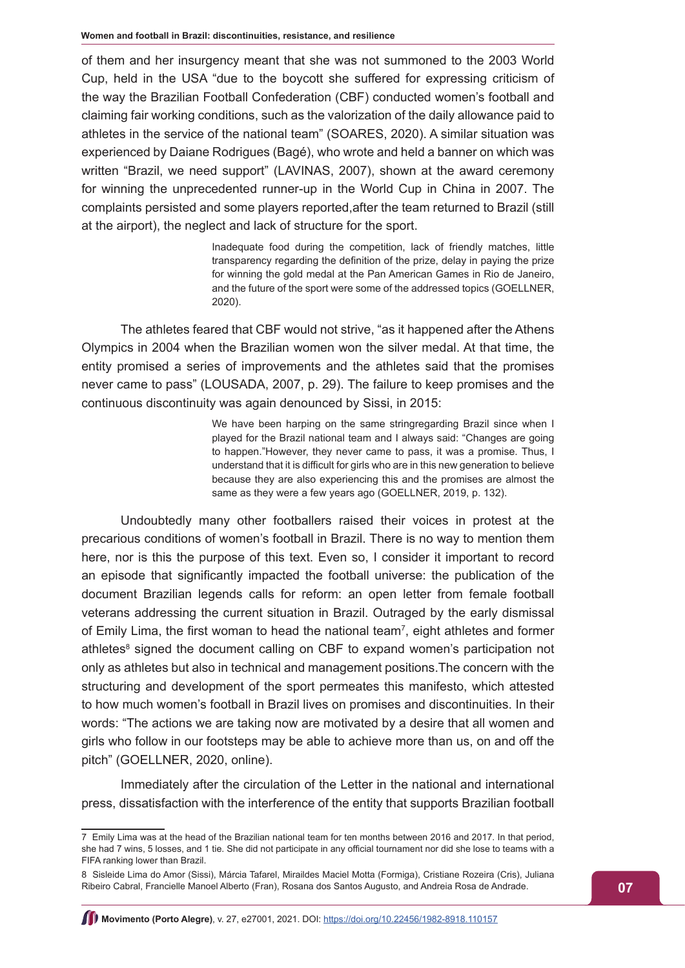of them and her insurgency meant that she was not summoned to the 2003 World Cup, held in the USA "due to the boycott she suffered for expressing criticism of the way the Brazilian Football Confederation (CBF) conducted women's football and claiming fair working conditions, such as the valorization of the daily allowance paid to athletes in the service of the national team" (SOARES, 2020). A similar situation was experienced by Daiane Rodrigues (Bagé), who wrote and held a banner on which was written "Brazil, we need support" (LAVINAS, 2007), shown at the award ceremony for winning the unprecedented runner-up in the World Cup in China in 2007. The complaints persisted and some players reported,after the team returned to Brazil (still at the airport), the neglect and lack of structure for the sport.

> Inadequate food during the competition, lack of friendly matches, little transparency regarding the definition of the prize, delay in paying the prize for winning the gold medal at the Pan American Games in Rio de Janeiro, and the future of the sport were some of the addressed topics (GOELLNER, 2020).

The athletes feared that CBF would not strive, "as it happened after the Athens Olympics in 2004 when the Brazilian women won the silver medal. At that time, the entity promised a series of improvements and the athletes said that the promises never came to pass" (LOUSADA, 2007, p. 29). The failure to keep promises and the continuous discontinuity was again denounced by Sissi, in 2015:

> We have been harping on the same stringregarding Brazil since when I played for the Brazil national team and I always said: "Changes are going to happen."However, they never came to pass, it was a promise. Thus, I understand that it is difficult for girls who are in this new generation to believe because they are also experiencing this and the promises are almost the same as they were a few years ago (GOELLNER, 2019, p. 132).

Undoubtedly many other footballers raised their voices in protest at the precarious conditions of women's football in Brazil. There is no way to mention them here, nor is this the purpose of this text. Even so, I consider it important to record an episode that significantly impacted the football universe: the publication of the document Brazilian legends calls for reform: an open letter from female football veterans addressing the current situation in Brazil. Outraged by the early dismissal of Emily Lima, the first woman to head the national team<sup>7</sup>, eight athletes and former athletes<sup>8</sup> signed the document calling on CBF to expand women's participation not only as athletes but also in technical and management positions.The concern with the structuring and development of the sport permeates this manifesto, which attested to how much women's football in Brazil lives on promises and discontinuities. In their words: "The actions we are taking now are motivated by a desire that all women and girls who follow in our footsteps may be able to achieve more than us, on and off the pitch" (GOELLNER, 2020, online).

Immediately after the circulation of the Letter in the national and international press, dissatisfaction with the interference of the entity that supports Brazilian football

<sup>7</sup> Emily Lima was at the head of the Brazilian national team for ten months between 2016 and 2017. In that period, she had 7 wins, 5 losses, and 1 tie. She did not participate in any official tournament nor did she lose to teams with a FIFA ranking lower than Brazil.

<sup>8</sup> Sisleide Lima do Amor (Sissi), Márcia Tafarel, Miraildes Maciel Motta (Formiga), Cristiane Rozeira (Cris), Juliana Ribeiro Cabral, Francielle Manoel Alberto (Fran), Rosana dos Santos Augusto, and Andreia Rosa de Andrade.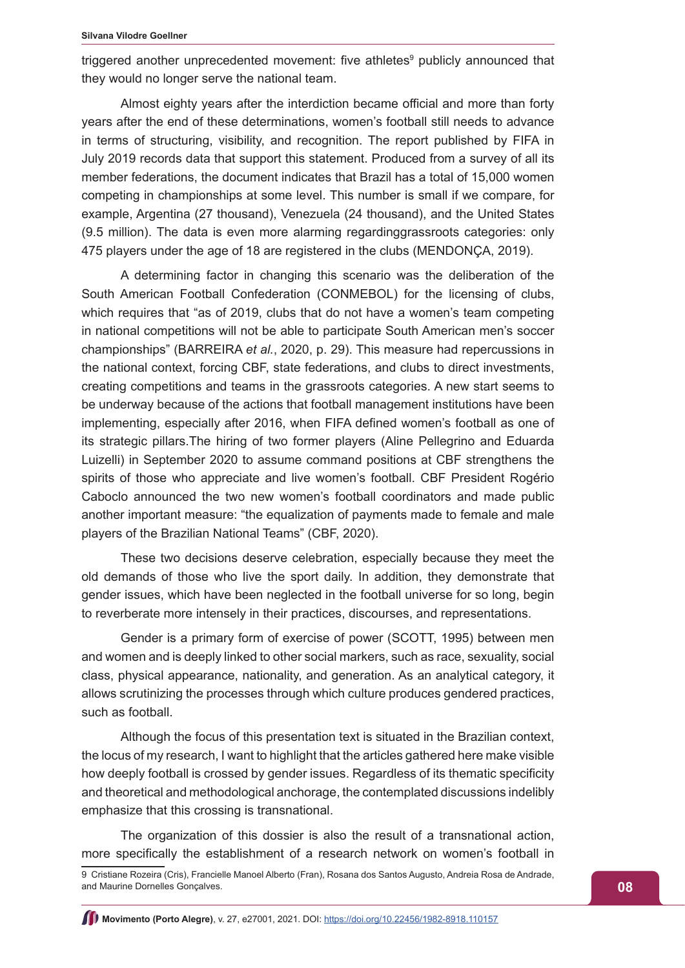triggered another unprecedented movement: five athletes<sup>9</sup> publicly announced that they would no longer serve the national team.

Almost eighty years after the interdiction became official and more than forty years after the end of these determinations, women's football still needs to advance in terms of structuring, visibility, and recognition. The report published by FIFA in July 2019 records data that support this statement. Produced from a survey of all its member federations, the document indicates that Brazil has a total of 15,000 women competing in championships at some level. This number is small if we compare, for example, Argentina (27 thousand), Venezuela (24 thousand), and the United States (9.5 million). The data is even more alarming regardinggrassroots categories: only 475 players under the age of 18 are registered in the clubs (MENDONÇA, 2019).

A determining factor in changing this scenario was the deliberation of the South American Football Confederation (CONMEBOL) for the licensing of clubs, which requires that "as of 2019, clubs that do not have a women's team competing in national competitions will not be able to participate South American men's soccer championships" (BARREIRA *et al.*, 2020, p. 29). This measure had repercussions in the national context, forcing CBF, state federations, and clubs to direct investments, creating competitions and teams in the grassroots categories. A new start seems to be underway because of the actions that football management institutions have been implementing, especially after 2016, when FIFA defined women's football as one of its strategic pillars.The hiring of two former players (Aline Pellegrino and Eduarda Luizelli) in September 2020 to assume command positions at CBF strengthens the spirits of those who appreciate and live women's football. CBF President Rogério Caboclo announced the two new women's football coordinators and made public another important measure: "the equalization of payments made to female and male players of the Brazilian National Teams" (CBF, 2020).

These two decisions deserve celebration, especially because they meet the old demands of those who live the sport daily. In addition, they demonstrate that gender issues, which have been neglected in the football universe for so long, begin to reverberate more intensely in their practices, discourses, and representations.

Gender is a primary form of exercise of power (SCOTT, 1995) between men and women and is deeply linked to other social markers, such as race, sexuality, social class, physical appearance, nationality, and generation. As an analytical category, it allows scrutinizing the processes through which culture produces gendered practices, such as football.

Although the focus of this presentation text is situated in the Brazilian context, the locus of my research, I want to highlight that the articles gathered here make visible how deeply football is crossed by gender issues. Regardless of its thematic specificity and theoretical and methodological anchorage, the contemplated discussions indelibly emphasize that this crossing is transnational.

The organization of this dossier is also the result of a transnational action, more specifically the establishment of a research network on women's football in

<sup>9</sup> Cristiane Rozeira (Cris), Francielle Manoel Alberto (Fran), Rosana dos Santos Augusto, Andreia Rosa de Andrade, and Maurine Dornelles Gonçalves.

**Movimento (Porto Alegre)**, v. 27, e27001, 2021. DOI: <https://doi.org/10.22456/1982-8918.110157>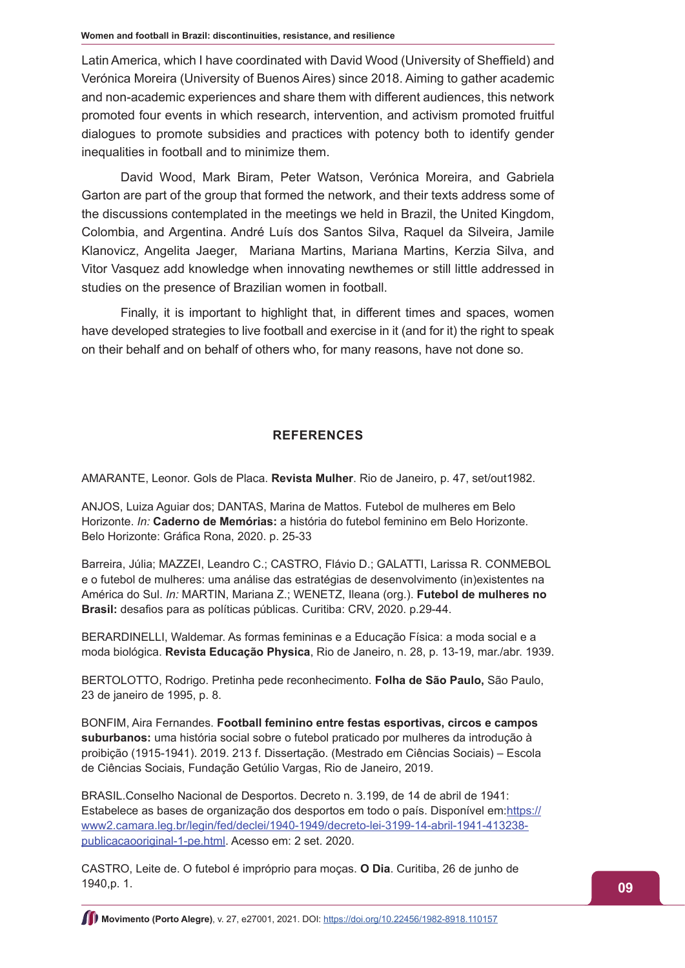Latin America, which I have coordinated with David Wood (University of Sheffield) and Verónica Moreira (University of Buenos Aires) since 2018. Aiming to gather academic and non-academic experiences and share them with different audiences, this network promoted four events in which research, intervention, and activism promoted fruitful dialogues to promote subsidies and practices with potency both to identify gender inequalities in football and to minimize them.

David Wood, Mark Biram, Peter Watson, Verónica Moreira, and Gabriela Garton are part of the group that formed the network, and their texts address some of the discussions contemplated in the meetings we held in Brazil, the United Kingdom, Colombia, and Argentina. André Luís dos Santos Silva, Raquel da Silveira, Jamile Klanovicz, Angelita Jaeger, Mariana Martins, Mariana Martins, Kerzia Silva, and Vitor Vasquez add knowledge when innovating newthemes or still little addressed in studies on the presence of Brazilian women in football.

Finally, it is important to highlight that, in different times and spaces, women have developed strategies to live football and exercise in it (and for it) the right to speak on their behalf and on behalf of others who, for many reasons, have not done so.

# **REFERENCES**

AMARANTE, Leonor. Gols de Placa. **Revista Mulher**. Rio de Janeiro, p. 47, set/out1982.

ANJOS, Luiza Aguiar dos; DANTAS, Marina de Mattos. Futebol de mulheres em Belo Horizonte. *In:* **Caderno de Memórias:** a história do futebol feminino em Belo Horizonte. Belo Horizonte: Gráfica Rona, 2020. p. 25-33

Barreira, Júlia; MAZZEI, Leandro C.; CASTRO, Flávio D.; GALATTI, Larissa R. CONMEBOL e o futebol de mulheres: uma análise das estratégias de desenvolvimento (in)existentes na América do Sul. *In:* MARTIN, Mariana Z.; WENETZ, Ileana (org.). **Futebol de mulheres no Brasil:** desafios para as políticas públicas. Curitiba: CRV, 2020. p.29-44.

BERARDINELLI, Waldemar. As formas femininas e a Educação Física: a moda social e a moda biológica. **Revista Educação Physica**, Rio de Janeiro, n. 28, p. 13-19, mar./abr. 1939.

BERTOLOTTO, Rodrigo. Pretinha pede reconhecimento. **Folha de São Paulo,** São Paulo, 23 de janeiro de 1995, p. 8.

BONFIM, Aira Fernandes. **Football feminino entre festas esportivas, circos e campos suburbanos:** uma história social sobre o futebol praticado por mulheres da introdução à proibição (1915-1941). 2019. 213 f. Dissertação. (Mestrado em Ciências Sociais) – Escola de Ciências Sociais, Fundação Getúlio Vargas, Rio de Janeiro, 2019.

BRASIL.Conselho Nacional de Desportos. Decreto n. 3.199, de 14 de abril de 1941: Estabelece as bases de organização dos desportos em todo o país. Disponível em: [https://](https://www2.camara.leg.br/legin/fed/declei/1940-1949/decreto-lei-3199-14-abril-1941-413238-publicacaooriginal-1-pe.html) [www2.camara.leg.br/legin/fed/declei/1940-1949/decreto-lei-3199-14-abril-1941-413238](https://www2.camara.leg.br/legin/fed/declei/1940-1949/decreto-lei-3199-14-abril-1941-413238-publicacaooriginal-1-pe.html) [publicacaooriginal-1-pe.html.](https://www2.camara.leg.br/legin/fed/declei/1940-1949/decreto-lei-3199-14-abril-1941-413238-publicacaooriginal-1-pe.html) Acesso em: 2 set. 2020.

CASTRO, Leite de. O futebol é impróprio para moças. **O Dia**. Curitiba, 26 de junho de 1940,p. 1.

**Movimento (Porto Alegre)**, v. 27, e27001, 2021. DOI:<https://doi.org/10.22456/1982-8918.110157>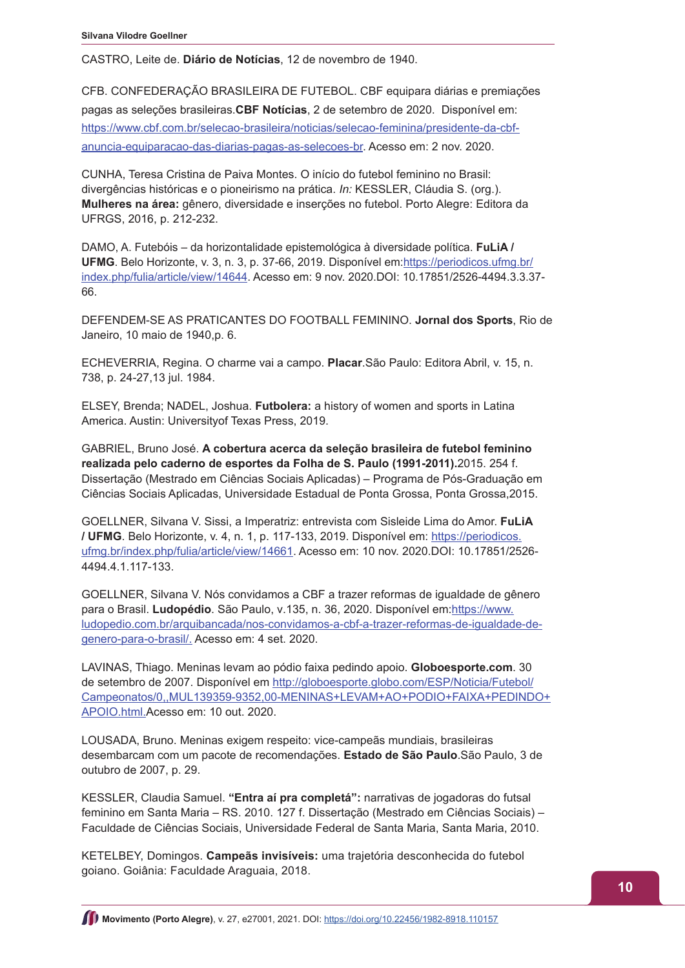CASTRO, Leite de. **Diário de Notícias**, 12 de novembro de 1940.

CFB. CONFEDERAÇÃO BRASILEIRA DE FUTEBOL. CBF equipara diárias e premiações pagas as seleções brasileiras.**CBF Notícias**, 2 de setembro de 2020. Disponível em: [https://www.cbf.com.br/selecao-brasileira/noticias/selecao-feminina/presidente-da-cbf](https://www.cbf.com.br/selecao-brasileira/noticias/selecao-feminina/presidente-da-cbf-anuncia-equiparacao-das-diarias-pagas-as-selecoes-br)[anuncia-equiparacao-das-diarias-pagas-as-selecoes-br](https://www.cbf.com.br/selecao-brasileira/noticias/selecao-feminina/presidente-da-cbf-anuncia-equiparacao-das-diarias-pagas-as-selecoes-br). Acesso em: 2 nov. 2020.

CUNHA, Teresa Cristina de Paiva Montes. O início do futebol feminino no Brasil: divergências históricas e o pioneirismo na prática. *In:* KESSLER, Cláudia S. (org.). **Mulheres na área:** gênero, diversidade e inserções no futebol. Porto Alegre: Editora da UFRGS, 2016, p. 212-232.

DAMO, A. Futebóis – da horizontalidade epistemológica à diversidade política. **FuLiA / UFMG**. Belo Horizonte, v. 3, n. 3, p. 37-66, 2019. Disponível em:[https://periodicos.ufmg.br/](https://periodicos.ufmg.br/index.php/fulia/article/view/14644) [index.php/fulia/article/view/14644](https://periodicos.ufmg.br/index.php/fulia/article/view/14644). Acesso em: 9 nov. 2020.DOI: 10.17851/2526-4494.3.3.37- 66.

DEFENDEM-SE AS PRATICANTES DO FOOTBALL FEMININO. **Jornal dos Sports**, Rio de Janeiro, 10 maio de 1940,p. 6.

ECHEVERRIA, Regina. O charme vai a campo. **Placar**.São Paulo: Editora Abril, v. 15, n. 738, p. 24-27,13 jul. 1984.

ELSEY, Brenda; NADEL, Joshua. **Futbolera:** a history of women and sports in Latina America. Austin: Universityof Texas Press, 2019.

GABRIEL, Bruno José. **A cobertura acerca da seleção brasileira de futebol feminino realizada pelo caderno de esportes da Folha de S. Paulo (1991-2011).**2015. 254 f. Dissertação (Mestrado em Ciências Sociais Aplicadas) – Programa de Pós-Graduação em Ciências Sociais Aplicadas, Universidade Estadual de Ponta Grossa, Ponta Grossa,2015.

GOELLNER, Silvana V. Sissi, a Imperatriz: entrevista com Sisleide Lima do Amor. **FuLiA / UFMG**. Belo Horizonte, v. 4, n. 1, p. 117-133, 2019. Disponível em: [https://periodicos.](https://periodicos.ufmg.br/index.php/fulia/article/view/14661) [ufmg.br/index.php/fulia/article/view/14661.](https://periodicos.ufmg.br/index.php/fulia/article/view/14661) Acesso em: 10 nov. 2020.DOI: 10.17851/2526- 4494.4.1.117-133.

GOELLNER, Silvana V. Nós convidamos a CBF a trazer reformas de igualdade de gênero para o Brasil. Ludopédio. São Paulo, v.135, n. 36, 2020. Disponível em:[https://www.](https://www.ludopedio.com.br/arquibancada/nos-convidamos-a-cbf-a-trazer-reformas-de-igualdade-de-genero-para-o-brasil/) [ludopedio.com.br/arquibancada/nos-convidamos-a-cbf-a-trazer-reformas-de-igualdade-de](https://www.ludopedio.com.br/arquibancada/nos-convidamos-a-cbf-a-trazer-reformas-de-igualdade-de-genero-para-o-brasil/)[genero-para-o-brasil/](https://www.ludopedio.com.br/arquibancada/nos-convidamos-a-cbf-a-trazer-reformas-de-igualdade-de-genero-para-o-brasil/). Acesso em: 4 set. 2020.

LAVINAS, Thiago. Meninas levam ao pódio faixa pedindo apoio. **Globoesporte.com**. 30 de setembro de 2007. Disponível em [http://globoesporte.globo.com/ESP/Noticia/Futebol/](http://globoesporte.globo.com/ESP/Noticia/Futebol/Campeonatos/0,,MUL139359-9352,00-MENINAS+LEVAM+AO+PODIO+FAIXA+PEDINDO+APOIO.html) [Campeonatos/0,,MUL139359-9352,00-MENINAS+LEVAM+AO+PODIO+FAIXA+PEDINDO+](http://globoesporte.globo.com/ESP/Noticia/Futebol/Campeonatos/0,,MUL139359-9352,00-MENINAS+LEVAM+AO+PODIO+FAIXA+PEDINDO+APOIO.html) [APOIO.html](http://globoesporte.globo.com/ESP/Noticia/Futebol/Campeonatos/0,,MUL139359-9352,00-MENINAS+LEVAM+AO+PODIO+FAIXA+PEDINDO+APOIO.html).Acesso em: 10 out. 2020.

LOUSADA, Bruno. Meninas exigem respeito: vice-campeãs mundiais, brasileiras desembarcam com um pacote de recomendações. **Estado de São Paulo**.São Paulo, 3 de outubro de 2007, p. 29.

KESSLER, Claudia Samuel. **"Entra aí pra completá":** narrativas de jogadoras do futsal feminino em Santa Maria – RS. 2010. 127 f. Dissertação (Mestrado em Ciências Sociais) – Faculdade de Ciências Sociais, Universidade Federal de Santa Maria, Santa Maria, 2010.

KETELBEY, Domingos. **Campeãs invisíveis:** uma trajetória desconhecida do futebol goiano. Goiânia: Faculdade Araguaia, 2018.

**Movimento (Porto Alegre)**, v. 27, e27001, 2021. DOI: <https://doi.org/10.22456/1982-8918.110157>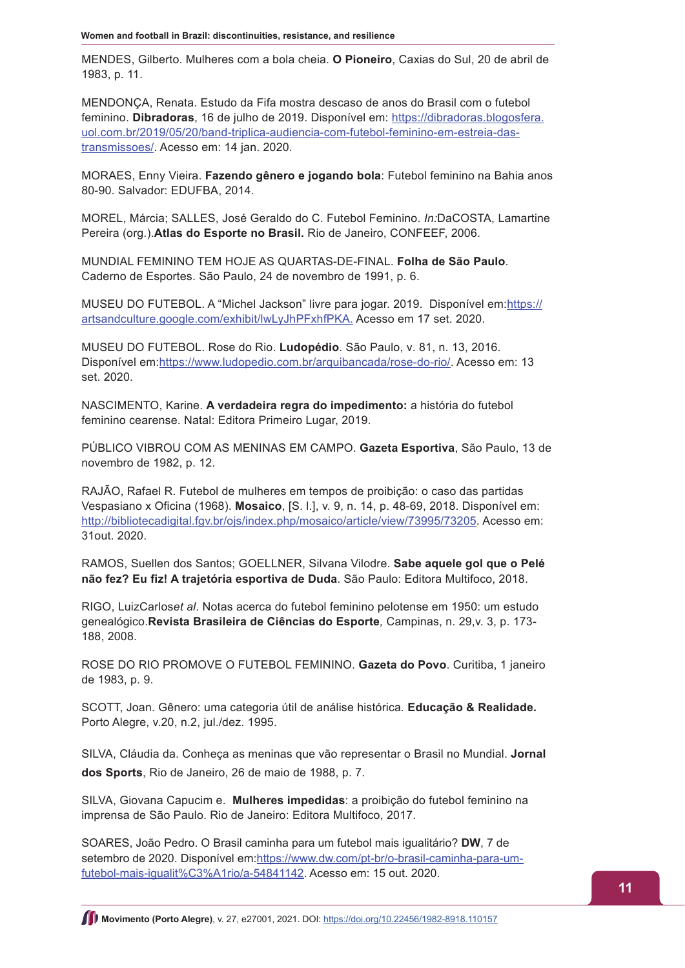MENDES, Gilberto. Mulheres com a bola cheia. **O Pioneiro**, Caxias do Sul, 20 de abril de 1983, p. 11.

MENDONÇA, Renata. Estudo da Fifa mostra descaso de anos do Brasil com o futebol feminino. **Dibradoras**, 16 de julho de 2019. Disponível em: [https://dibradoras.blogosfera.](https://dibradoras.blogosfera.uol.com.br/2019/05/20/band-triplica-audiencia-com-futebol-feminino-em-estreia-das-transmissoes/) [uol.com.br/2019/05/20/band-triplica-audiencia-com-futebol-feminino-em-estreia-das](https://dibradoras.blogosfera.uol.com.br/2019/05/20/band-triplica-audiencia-com-futebol-feminino-em-estreia-das-transmissoes/)[transmissoes/.](https://dibradoras.blogosfera.uol.com.br/2019/05/20/band-triplica-audiencia-com-futebol-feminino-em-estreia-das-transmissoes/) Acesso em: 14 jan. 2020.

MORAES, Enny Vieira. **Fazendo gênero e jogando bola**: Futebol feminino na Bahia anos 80-90. Salvador: EDUFBA, 2014.

MOREL, Márcia; SALLES, José Geraldo do C. Futebol Feminino. *In:*DaCOSTA, Lamartine Pereira (org.).**Atlas do Esporte no Brasil.** Rio de Janeiro, CONFEEF, 2006.

MUNDIAL FEMININO TEM HOJE AS QUARTAS-DE-FINAL. **Folha de São Paulo**. Caderno de Esportes. São Paulo, 24 de novembro de 1991, p. 6.

MUSEU DO FUTEBOL. A "Michel Jackson" livre para jogar. 2019. Disponível em:[https://](https://artsandculture.google.com/exhibit/lwLyJhPFxhfPKA) [artsandculture.google.com/exhibit/lwLyJhPFxhfPKA](https://artsandculture.google.com/exhibit/lwLyJhPFxhfPKA). Acesso em 17 set. 2020.

MUSEU DO FUTEBOL. Rose do Rio. **Ludopédio**. São Paulo, v. 81, n. 13, 2016. Disponível em[:https://www.ludopedio.com.br/arquibancada/rose-do-rio/.](https://www.ludopedio.com.br/arquibancada/rose-do-rio/) Acesso em: 13 set. 2020.

NASCIMENTO, Karine. **A verdadeira regra do impedimento:** a história do futebol feminino cearense. Natal: Editora Primeiro Lugar, 2019.

PÚBLICO VIBROU COM AS MENINAS EM CAMPO. **Gazeta Esportiva**, São Paulo, 13 de novembro de 1982, p. 12.

RAJÃO, Rafael R. Futebol de mulheres em tempos de proibição: o caso das partidas Vespasiano x Oficina (1968). **Mosaico**, [S. l.], v. 9, n. 14, p. 48-69, 2018. Disponível em: <http://bibliotecadigital.fgv.br/ojs/index.php/mosaico/article/view/73995/73205>. Acesso em: 31out. 2020.

RAMOS, Suellen dos Santos; GOELLNER, Silvana Vilodre. **Sabe aquele gol que o Pelé não fez? Eu fiz! A trajetória esportiva de Duda**. São Paulo: Editora Multifoco, 2018.

RIGO, LuizCarlos*et al*. Notas acerca do futebol feminino pelotense em 1950: um estudo genealógico.**Revista Brasileira de Ciências do Esporte***,* Campinas, n. 29,v. 3, p. 173- 188, 2008.

ROSE DO RIO PROMOVE O FUTEBOL FEMININO. **Gazeta do Povo**. Curitiba, 1 janeiro de 1983, p. 9.

SCOTT, Joan. Gênero: uma categoria útil de análise histórica*.* **Educação & Realidade.** Porto Alegre, v.20, n.2, jul./dez. 1995.

SILVA, Cláudia da. Conheça as meninas que vão representar o Brasil no Mundial. **Jornal dos Sports**, Rio de Janeiro, 26 de maio de 1988, p. 7.

SILVA, Giovana Capucim e. **Mulheres impedidas**: a proibição do futebol feminino na imprensa de São Paulo. Rio de Janeiro: Editora Multifoco, 2017.

SOARES, João Pedro. O Brasil caminha para um futebol mais igualitário? **DW**, 7 de setembro de 2020. Disponível em[:https://www.dw.com/pt-br/o-brasil-caminha-para-um](https://www.dw.com/pt-br/o-brasil-caminha-para-um-futebol-mais-igualit%C3%A1rio/a-54841142)[futebol-mais-igualit%C3%A1rio/a-54841142](https://www.dw.com/pt-br/o-brasil-caminha-para-um-futebol-mais-igualit%C3%A1rio/a-54841142). Acesso em: 15 out. 2020.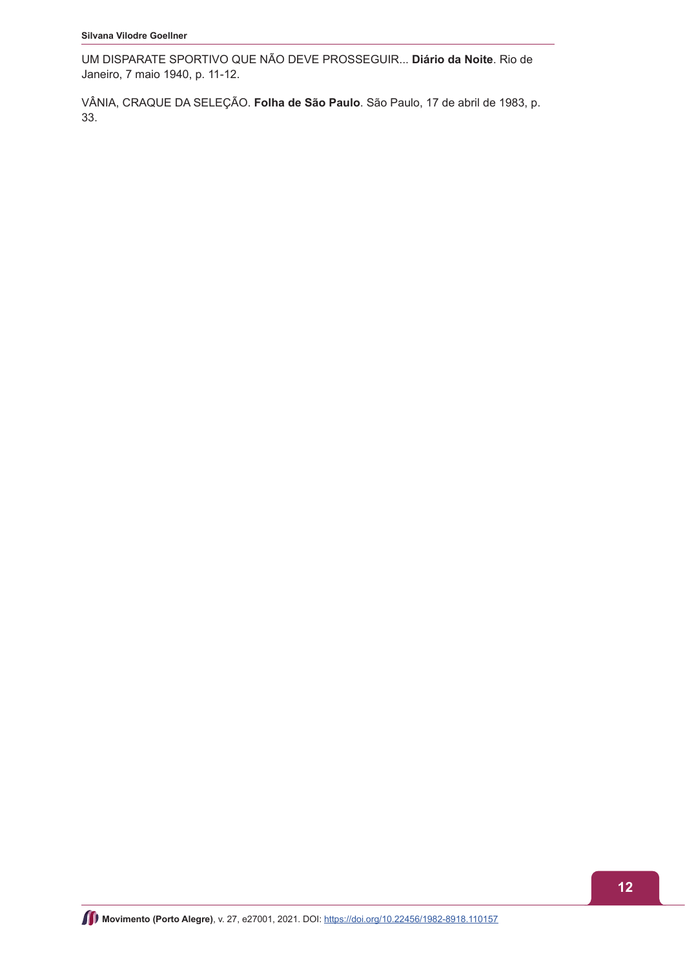UM DISPARATE SPORTIVO QUE NÃO DEVE PROSSEGUIR... **Diário da Noite**. Rio de Janeiro, 7 maio 1940, p. 11-12.

VÂNIA, CRAQUE DA SELEÇÃO. **Folha de São Paulo**. São Paulo, 17 de abril de 1983, p. 33.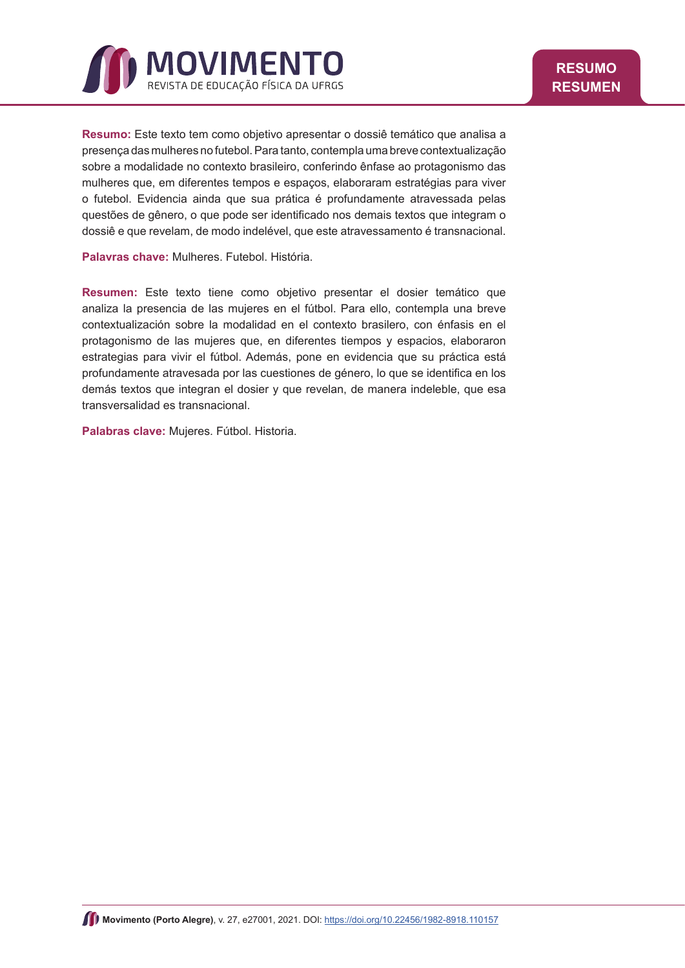<span id="page-12-0"></span>

**Resumo:** Este texto tem como objetivo apresentar o dossiê temático que analisa a presença das mulheres no futebol. Para tanto, contempla uma breve contextualização sobre a modalidade no contexto brasileiro, conferindo ênfase ao protagonismo das mulheres que, em diferentes tempos e espaços, elaboraram estratégias para viver o futebol. Evidencia ainda que sua prática é profundamente atravessada pelas questões de gênero, o que pode ser identificado nos demais textos que integram o dossiê e que revelam, de modo indelével, que este atravessamento é transnacional.

**Palavras chave:** Mulheres. Futebol. História.

**Resumen:** Este texto tiene como objetivo presentar el dosier temático que analiza la presencia de las mujeres en el fútbol. Para ello, contempla una breve contextualización sobre la modalidad en el contexto brasilero, con énfasis en el protagonismo de las mujeres que, en diferentes tiempos y espacios, elaboraron estrategias para vivir el fútbol. Además, pone en evidencia que su práctica está profundamente atravesada por las cuestiones de género, lo que se identifica en los demás textos que integran el dosier y que revelan, de manera indeleble, que esa transversalidad es transnacional.

**Palabras clave:** Mujeres. Fútbol. Historia.